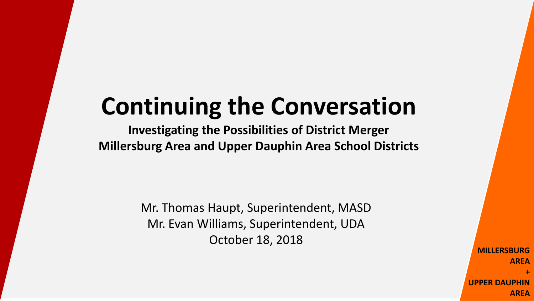# **Continuing the Conversation**

**Investigating the Possibilities of District Merger Millersburg Area and Upper Dauphin Area School Districts**

> Mr. Thomas Haupt, Superintendent, MASD Mr. Evan Williams, Superintendent, UDA October 18, 2018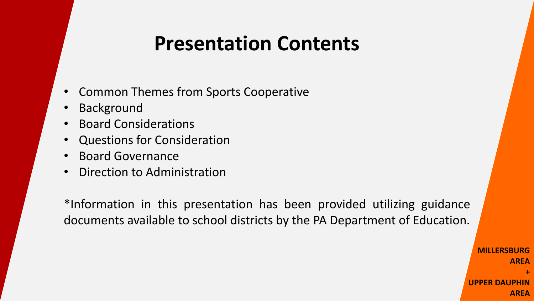#### **Presentation Contents**

- Common Themes from Sports Cooperative
- **Background**
- Board Considerations
- Questions for Consideration
- Board Governance
- Direction to Administration

\*Information in this presentation has been provided utilizing guidance documents available to school districts by the PA Department of Education.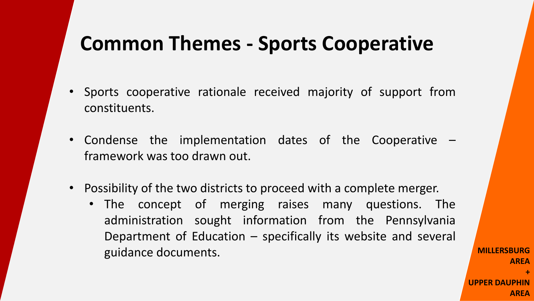#### **Common Themes - Sports Cooperative**

- Sports cooperative rationale received majority of support from constituents.
- Condense the implementation dates of the Cooperative framework was too drawn out.
- Possibility of the two districts to proceed with a complete merger.
	- The concept of merging raises many questions. The administration sought information from the Pennsylvania Department of Education – specifically its website and several guidance documents.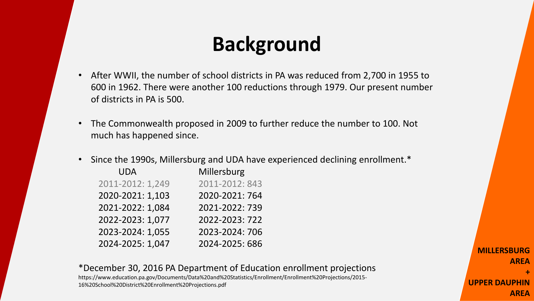# **Background**

- After WWII, the number of school districts in PA was reduced from 2,700 in 1955 to 600 in 1962. There were another 100 reductions through 1979. Our present number of districts in PA is 500.
- The Commonwealth proposed in 2009 to further reduce the number to 100. Not much has happened since.
- Since the 1990s, Millersburg and UDA have experienced declining enrollment.\*

| UDA              | Millersburg    |
|------------------|----------------|
| 2011-2012: 1,249 | 2011-2012: 843 |
| 2020-2021: 1,103 | 2020-2021: 764 |
| 2021-2022: 1,084 | 2021-2022: 739 |
| 2022-2023: 1,077 | 2022-2023: 722 |
| 2023-2024: 1,055 | 2023-2024: 706 |
| 2024-2025: 1,047 | 2024-2025: 686 |

\*December 30, 2016 PA Department of Education enrollment projections https://www.education.pa.gov/Documents/Data%20and%20Statistics/Enrollment/Enrollment%20Projections/2015- 16%20School%20District%20Enrollment%20Projections.pdf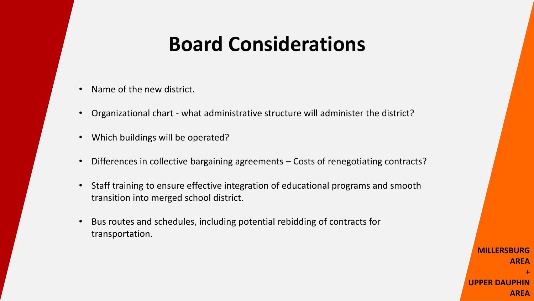# **Board Considerations**

- Name of the new district.
- Organizational chart what administrative structure will administer the district?
- Which buildings will be operated?
- Differences in collective bargaining agreements Costs of renegotiating contracts?
- Staff training to ensure effective integration of educational programs and smooth transition into merged school district.
- Bus routes and schedules, including potential rebidding of contracts for transportation.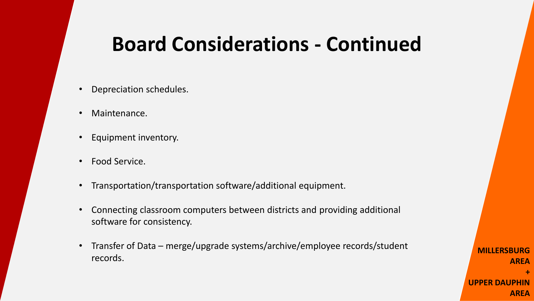#### **Board Considerations - Continued**

- Depreciation schedules.
- Maintenance.
- Equipment inventory.
- Food Service.
- Transportation/transportation software/additional equipment.
- Connecting classroom computers between districts and providing additional software for consistency.
- Transfer of Data merge/upgrade systems/archive/employee records/student records.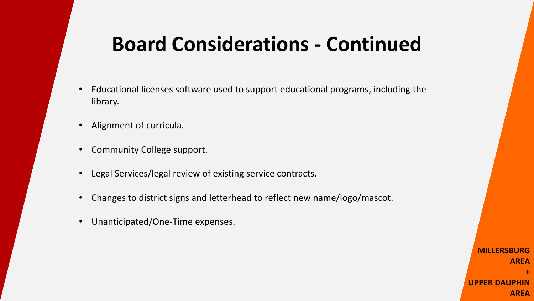# **Board Considerations - Continued**

- Educational licenses software used to support educational programs, including the library.
- Alignment of curricula.
- Community College support.
- Legal Services/legal review of existing service contracts.
- Changes to district signs and letterhead to reflect new name/logo/mascot.
- Unanticipated/One-Time expenses.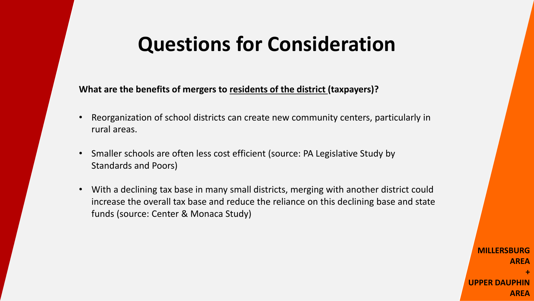# **Questions for Consideration**

**What are the benefits of mergers to residents of the district (taxpayers)?**

- Reorganization of school districts can create new community centers, particularly in rural areas.
- Smaller schools are often less cost efficient (source: PA Legislative Study by Standards and Poors)
- With a declining tax base in many small districts, merging with another district could increase the overall tax base and reduce the reliance on this declining base and state funds (source: Center & Monaca Study)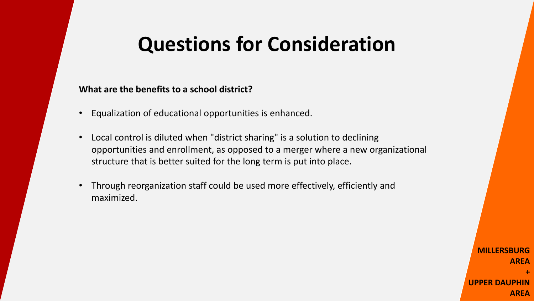### **Questions for Consideration**

**What are the benefits to a school district?**

- Equalization of educational opportunities is enhanced.
- Local control is diluted when "district sharing" is a solution to declining opportunities and enrollment, as opposed to a merger where a new organizational structure that is better suited for the long term is put into place.
- Through reorganization staff could be used more effectively, efficiently and maximized.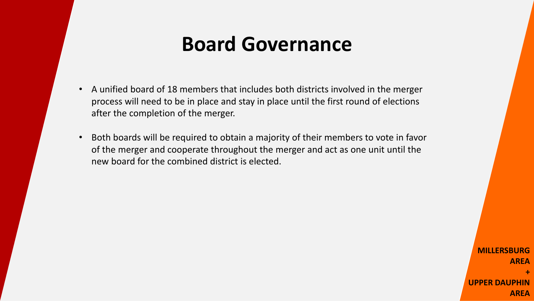# **Board Governance**

- A unified board of 18 members that includes both districts involved in the merger process will need to be in place and stay in place until the first round of elections after the completion of the merger.
- Both boards will be required to obtain a majority of their members to vote in favor of the merger and cooperate throughout the merger and act as one unit until the new board for the combined district is elected.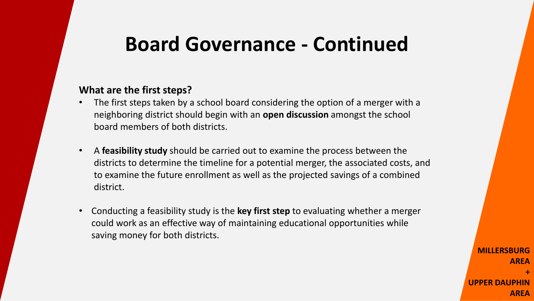#### **Board Governance - Continued**

#### **What are the first steps?**

- The first steps taken by a school board considering the option of a merger with a neighboring district should begin with an **open discussion** amongst the school board members of both districts.
- A **feasibility study** should be carried out to examine the process between the districts to determine the timeline for a potential merger, the associated costs, and to examine the future enrollment as well as the projected savings of a combined district.
- Conducting a feasibility study is the **key first step** to evaluating whether a merger could work as an effective way of maintaining educational opportunities while saving money for both districts.